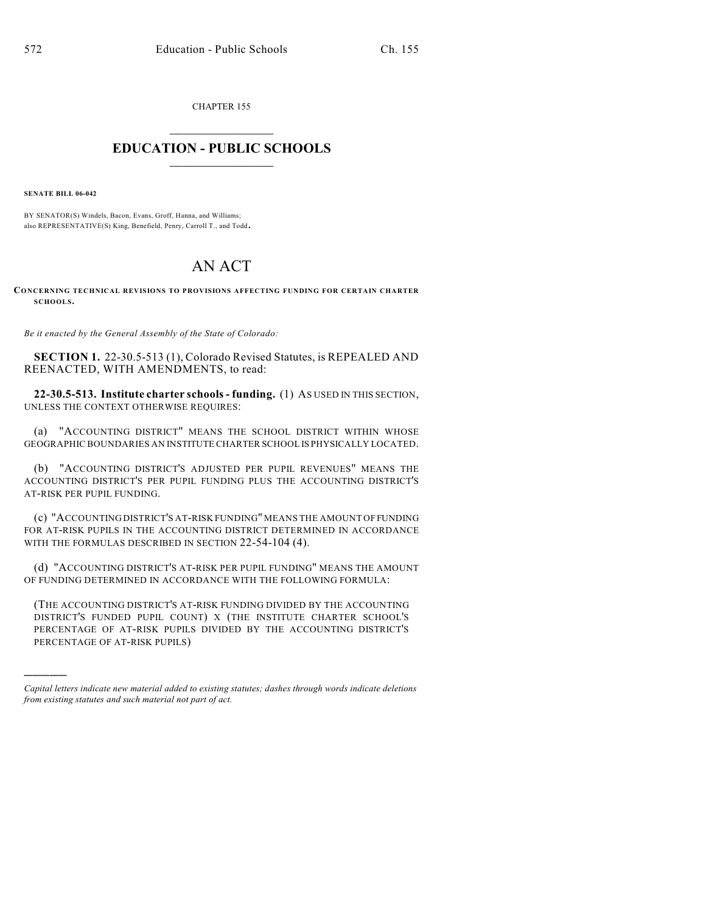CHAPTER 155

## $\mathcal{L}_\text{max}$  . The set of the set of the set of the set of the set of the set of the set of the set of the set of the set of the set of the set of the set of the set of the set of the set of the set of the set of the set **EDUCATION - PUBLIC SCHOOLS**  $\_$   $\_$   $\_$   $\_$   $\_$   $\_$   $\_$   $\_$   $\_$

**SENATE BILL 06-042**

)))))

BY SENATOR(S) Windels, Bacon, Evans, Groff, Hanna, and Williams; also REPRESENTATIVE(S) King, Benefield, Penry, Carroll T., and Todd.

## AN ACT

**CONCERNING TECHNICAL REVISIONS TO PROVISIONS AFFECTING FUNDING FOR CERTAIN CHARTER SCHOOLS.**

*Be it enacted by the General Assembly of the State of Colorado:*

**SECTION 1.** 22-30.5-513 (1), Colorado Revised Statutes, is REPEALED AND REENACTED, WITH AMENDMENTS, to read:

**22-30.5-513. Institute charter schools - funding.** (1) AS USED IN THIS SECTION, UNLESS THE CONTEXT OTHERWISE REQUIRES:

(a) "ACCOUNTING DISTRICT" MEANS THE SCHOOL DISTRICT WITHIN WHOSE GEOGRAPHIC BOUNDARIES AN INSTITUTE CHARTER SCHOOL IS PHYSICALLY LOCATED.

(b) "ACCOUNTING DISTRICT'S ADJUSTED PER PUPIL REVENUES" MEANS THE ACCOUNTING DISTRICT'S PER PUPIL FUNDING PLUS THE ACCOUNTING DISTRICT'S AT-RISK PER PUPIL FUNDING.

(c) "ACCOUNTING DISTRICT'S AT-RISK FUNDING" MEANS THE AMOUNT OF FUNDING FOR AT-RISK PUPILS IN THE ACCOUNTING DISTRICT DETERMINED IN ACCORDANCE WITH THE FORMULAS DESCRIBED IN SECTION 22-54-104 (4).

(d) "ACCOUNTING DISTRICT'S AT-RISK PER PUPIL FUNDING" MEANS THE AMOUNT OF FUNDING DETERMINED IN ACCORDANCE WITH THE FOLLOWING FORMULA:

(THE ACCOUNTING DISTRICT'S AT-RISK FUNDING DIVIDED BY THE ACCOUNTING DISTRICT'S FUNDED PUPIL COUNT) X (THE INSTITUTE CHARTER SCHOOL'S PERCENTAGE OF AT-RISK PUPILS DIVIDED BY THE ACCOUNTING DISTRICT'S PERCENTAGE OF AT-RISK PUPILS)

*Capital letters indicate new material added to existing statutes; dashes through words indicate deletions from existing statutes and such material not part of act.*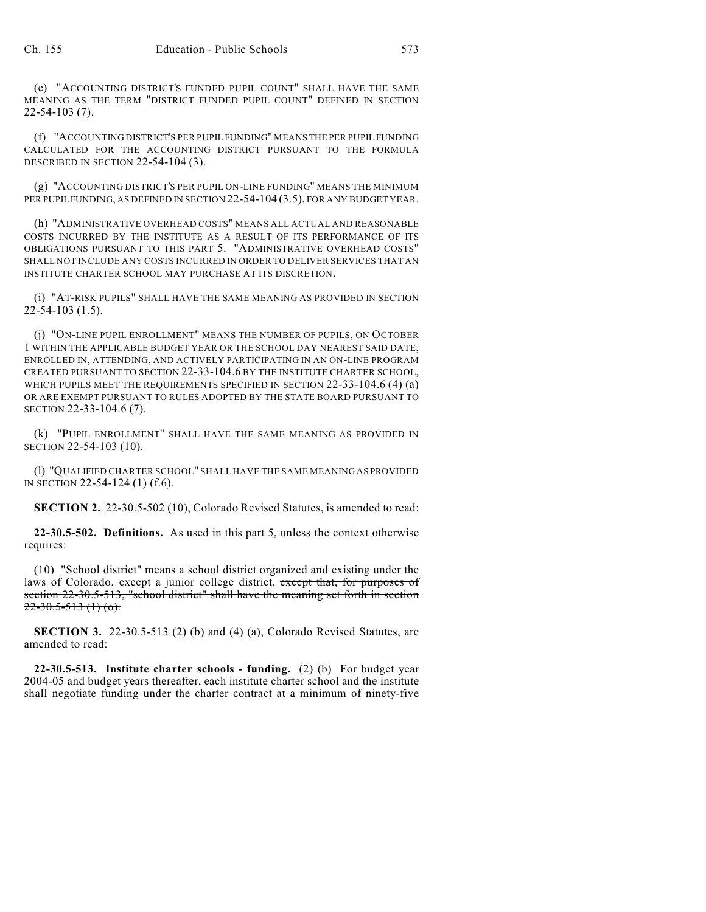(e) "ACCOUNTING DISTRICT'S FUNDED PUPIL COUNT" SHALL HAVE THE SAME MEANING AS THE TERM "DISTRICT FUNDED PUPIL COUNT" DEFINED IN SECTION 22-54-103 (7).

(f) "ACCOUNTING DISTRICT'S PER PUPIL FUNDING" MEANS THE PER PUPIL FUNDING CALCULATED FOR THE ACCOUNTING DISTRICT PURSUANT TO THE FORMULA DESCRIBED IN SECTION 22-54-104 (3).

(g) "ACCOUNTING DISTRICT'S PER PUPIL ON-LINE FUNDING" MEANS THE MINIMUM PER PUPIL FUNDING, AS DEFINED IN SECTION 22-54-104 (3.5), FOR ANY BUDGET YEAR.

(h) "ADMINISTRATIVE OVERHEAD COSTS" MEANS ALL ACTUAL AND REASONABLE COSTS INCURRED BY THE INSTITUTE AS A RESULT OF ITS PERFORMANCE OF ITS OBLIGATIONS PURSUANT TO THIS PART 5. "ADMINISTRATIVE OVERHEAD COSTS" SHALL NOT INCLUDE ANY COSTS INCURRED IN ORDER TO DELIVER SERVICES THAT AN INSTITUTE CHARTER SCHOOL MAY PURCHASE AT ITS DISCRETION.

(i) "AT-RISK PUPILS" SHALL HAVE THE SAME MEANING AS PROVIDED IN SECTION 22-54-103 (1.5).

(j) "ON-LINE PUPIL ENROLLMENT" MEANS THE NUMBER OF PUPILS, ON OCTOBER 1 WITHIN THE APPLICABLE BUDGET YEAR OR THE SCHOOL DAY NEAREST SAID DATE, ENROLLED IN, ATTENDING, AND ACTIVELY PARTICIPATING IN AN ON-LINE PROGRAM CREATED PURSUANT TO SECTION 22-33-104.6 BY THE INSTITUTE CHARTER SCHOOL, WHICH PUPILS MEET THE REQUIREMENTS SPECIFIED IN SECTION 22-33-104.6 (4) (a) OR ARE EXEMPT PURSUANT TO RULES ADOPTED BY THE STATE BOARD PURSUANT TO SECTION 22-33-104.6 (7).

(k) "PUPIL ENROLLMENT" SHALL HAVE THE SAME MEANING AS PROVIDED IN SECTION 22-54-103 (10).

(l) "QUALIFIED CHARTER SCHOOL" SHALL HAVE THE SAME MEANING AS PROVIDED IN SECTION 22-54-124 (1) (f.6).

**SECTION 2.** 22-30.5-502 (10), Colorado Revised Statutes, is amended to read:

**22-30.5-502. Definitions.** As used in this part 5, unless the context otherwise requires:

(10) "School district" means a school district organized and existing under the laws of Colorado, except a junior college district. except that, for purposes of section 22-30.5-513, "school district" shall have the meaning set forth in section  $22 - 30.5 - 513$  (1) (o).

**SECTION 3.** 22-30.5-513 (2) (b) and (4) (a), Colorado Revised Statutes, are amended to read:

**22-30.5-513. Institute charter schools - funding.** (2) (b) For budget year 2004-05 and budget years thereafter, each institute charter school and the institute shall negotiate funding under the charter contract at a minimum of ninety-five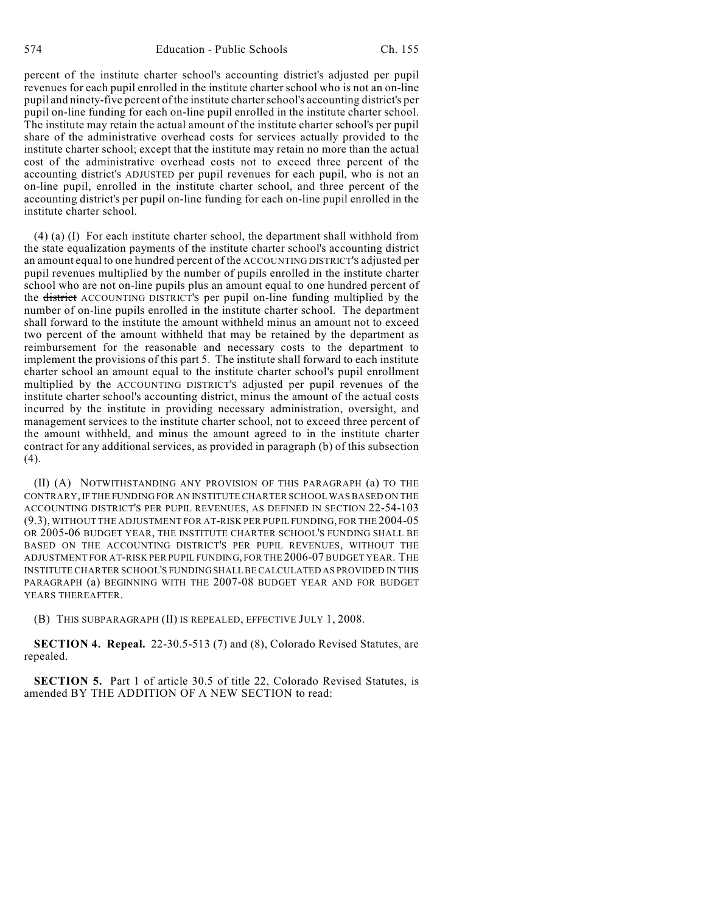percent of the institute charter school's accounting district's adjusted per pupil revenues for each pupil enrolled in the institute charter school who is not an on-line pupil and ninety-five percent of the institute charter school's accounting district's per pupil on-line funding for each on-line pupil enrolled in the institute charter school. The institute may retain the actual amount of the institute charter school's per pupil share of the administrative overhead costs for services actually provided to the institute charter school; except that the institute may retain no more than the actual cost of the administrative overhead costs not to exceed three percent of the accounting district's ADJUSTED per pupil revenues for each pupil, who is not an on-line pupil, enrolled in the institute charter school, and three percent of the accounting district's per pupil on-line funding for each on-line pupil enrolled in the institute charter school.

(4) (a) (I) For each institute charter school, the department shall withhold from the state equalization payments of the institute charter school's accounting district an amount equal to one hundred percent of the ACCOUNTING DISTRICT'S adjusted per pupil revenues multiplied by the number of pupils enrolled in the institute charter school who are not on-line pupils plus an amount equal to one hundred percent of the district ACCOUNTING DISTRICT'S per pupil on-line funding multiplied by the number of on-line pupils enrolled in the institute charter school. The department shall forward to the institute the amount withheld minus an amount not to exceed two percent of the amount withheld that may be retained by the department as reimbursement for the reasonable and necessary costs to the department to implement the provisions of this part 5. The institute shall forward to each institute charter school an amount equal to the institute charter school's pupil enrollment multiplied by the ACCOUNTING DISTRICT'S adjusted per pupil revenues of the institute charter school's accounting district, minus the amount of the actual costs incurred by the institute in providing necessary administration, oversight, and management services to the institute charter school, not to exceed three percent of the amount withheld, and minus the amount agreed to in the institute charter contract for any additional services, as provided in paragraph (b) of this subsection  $(4).$ 

(II) (A) NOTWITHSTANDING ANY PROVISION OF THIS PARAGRAPH (a) TO THE CONTRARY, IF THE FUNDING FOR AN INSTITUTE CHARTER SCHOOL WAS BASED ON THE ACCOUNTING DISTRICT'S PER PUPIL REVENUES, AS DEFINED IN SECTION 22-54-103 (9.3), WITHOUT THE ADJUSTMENT FOR AT-RISK PER PUPIL FUNDING, FOR THE 2004-05 OR 2005-06 BUDGET YEAR, THE INSTITUTE CHARTER SCHOOL'S FUNDING SHALL BE BASED ON THE ACCOUNTING DISTRICT'S PER PUPIL REVENUES, WITHOUT THE ADJUSTMENT FOR AT-RISK PER PUPIL FUNDING, FOR THE 2006-07 BUDGET YEAR. THE INSTITUTE CHARTER SCHOOL'S FUNDING SHALL BE CALCULATED AS PROVIDED IN THIS PARAGRAPH (a) BEGINNING WITH THE 2007-08 BUDGET YEAR AND FOR BUDGET YEARS THEREAFTER.

(B) THIS SUBPARAGRAPH (II) IS REPEALED, EFFECTIVE JULY 1, 2008.

**SECTION 4. Repeal.** 22-30.5-513 (7) and (8), Colorado Revised Statutes, are repealed.

**SECTION 5.** Part 1 of article 30.5 of title 22, Colorado Revised Statutes, is amended BY THE ADDITION OF A NEW SECTION to read: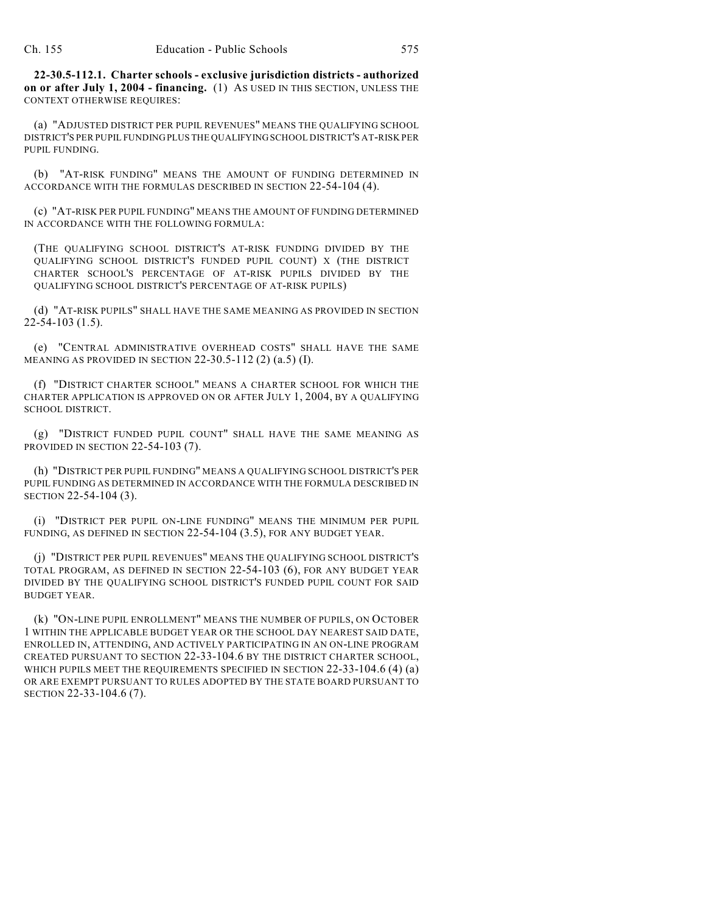**22-30.5-112.1. Charter schools - exclusive jurisdiction districts - authorized on or after July 1, 2004 - financing.** (1) AS USED IN THIS SECTION, UNLESS THE CONTEXT OTHERWISE REQUIRES:

(a) "ADJUSTED DISTRICT PER PUPIL REVENUES" MEANS THE QUALIFYING SCHOOL DISTRICT'S PER PUPIL FUNDING PLUS THE QUALIFYING SCHOOL DISTRICT'S AT-RISK PER PUPIL FUNDING.

(b) "AT-RISK FUNDING" MEANS THE AMOUNT OF FUNDING DETERMINED IN ACCORDANCE WITH THE FORMULAS DESCRIBED IN SECTION 22-54-104 (4).

(c) "AT-RISK PER PUPIL FUNDING" MEANS THE AMOUNT OF FUNDING DETERMINED IN ACCORDANCE WITH THE FOLLOWING FORMULA:

(THE QUALIFYING SCHOOL DISTRICT'S AT-RISK FUNDING DIVIDED BY THE QUALIFYING SCHOOL DISTRICT'S FUNDED PUPIL COUNT) X (THE DISTRICT CHARTER SCHOOL'S PERCENTAGE OF AT-RISK PUPILS DIVIDED BY THE QUALIFYING SCHOOL DISTRICT'S PERCENTAGE OF AT-RISK PUPILS)

(d) "AT-RISK PUPILS" SHALL HAVE THE SAME MEANING AS PROVIDED IN SECTION  $22-54-103(1.5)$ .

(e) "CENTRAL ADMINISTRATIVE OVERHEAD COSTS" SHALL HAVE THE SAME MEANING AS PROVIDED IN SECTION 22-30.5-112 (2) (a.5) (I).

(f) "DISTRICT CHARTER SCHOOL" MEANS A CHARTER SCHOOL FOR WHICH THE CHARTER APPLICATION IS APPROVED ON OR AFTER JULY 1, 2004, BY A QUALIFYING SCHOOL DISTRICT.

(g) "DISTRICT FUNDED PUPIL COUNT" SHALL HAVE THE SAME MEANING AS PROVIDED IN SECTION 22-54-103 (7).

(h) "DISTRICT PER PUPIL FUNDING" MEANS A QUALIFYING SCHOOL DISTRICT'S PER PUPIL FUNDING AS DETERMINED IN ACCORDANCE WITH THE FORMULA DESCRIBED IN SECTION 22-54-104 (3).

(i) "DISTRICT PER PUPIL ON-LINE FUNDING" MEANS THE MINIMUM PER PUPIL FUNDING, AS DEFINED IN SECTION 22-54-104 (3.5), FOR ANY BUDGET YEAR.

(j) "DISTRICT PER PUPIL REVENUES" MEANS THE QUALIFYING SCHOOL DISTRICT'S TOTAL PROGRAM, AS DEFINED IN SECTION 22-54-103 (6), FOR ANY BUDGET YEAR DIVIDED BY THE QUALIFYING SCHOOL DISTRICT'S FUNDED PUPIL COUNT FOR SAID BUDGET YEAR.

(k) "ON-LINE PUPIL ENROLLMENT" MEANS THE NUMBER OF PUPILS, ON OCTOBER 1 WITHIN THE APPLICABLE BUDGET YEAR OR THE SCHOOL DAY NEAREST SAID DATE, ENROLLED IN, ATTENDING, AND ACTIVELY PARTICIPATING IN AN ON-LINE PROGRAM CREATED PURSUANT TO SECTION 22-33-104.6 BY THE DISTRICT CHARTER SCHOOL, WHICH PUPILS MEET THE REQUIREMENTS SPECIFIED IN SECTION 22-33-104.6 (4) (a) OR ARE EXEMPT PURSUANT TO RULES ADOPTED BY THE STATE BOARD PURSUANT TO SECTION 22-33-104.6 (7).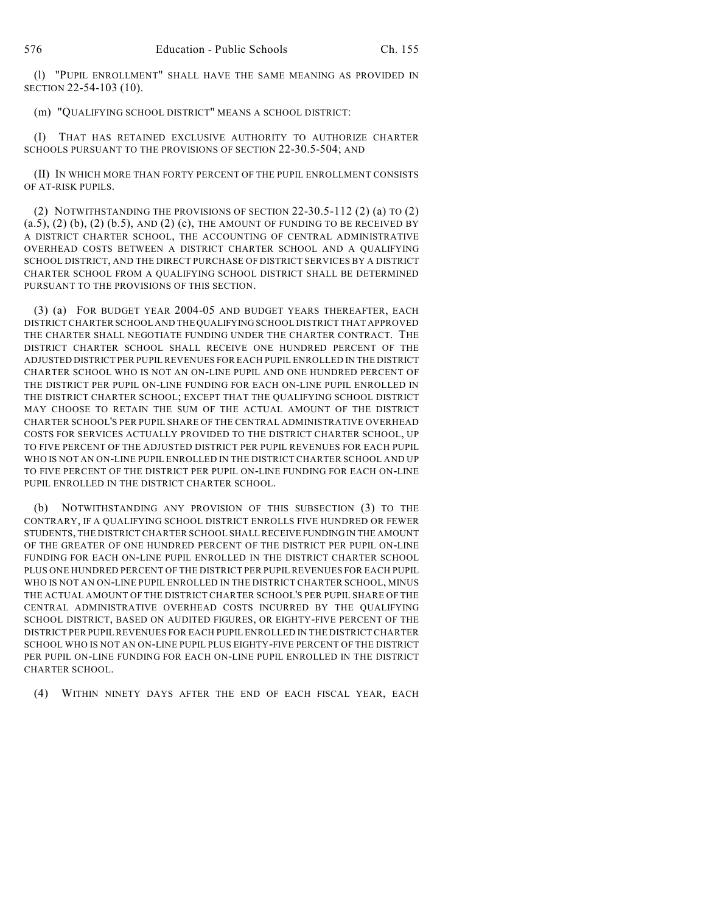(l) "PUPIL ENROLLMENT" SHALL HAVE THE SAME MEANING AS PROVIDED IN SECTION 22-54-103 (10).

(m) "QUALIFYING SCHOOL DISTRICT" MEANS A SCHOOL DISTRICT:

(I) THAT HAS RETAINED EXCLUSIVE AUTHORITY TO AUTHORIZE CHARTER SCHOOLS PURSUANT TO THE PROVISIONS OF SECTION 22-30.5-504; AND

(II) IN WHICH MORE THAN FORTY PERCENT OF THE PUPIL ENROLLMENT CONSISTS OF AT-RISK PUPILS.

(2) NOTWITHSTANDING THE PROVISIONS OF SECTION 22-30.5-112 (2) (a) TO (2)  $(a.5), (2)$   $(b), (2)$   $(b.5),$  AND  $(2)$   $(c),$  THE AMOUNT OF FUNDING TO BE RECEIVED BY A DISTRICT CHARTER SCHOOL, THE ACCOUNTING OF CENTRAL ADMINISTRATIVE OVERHEAD COSTS BETWEEN A DISTRICT CHARTER SCHOOL AND A QUALIFYING SCHOOL DISTRICT, AND THE DIRECT PURCHASE OF DISTRICT SERVICES BY A DISTRICT CHARTER SCHOOL FROM A QUALIFYING SCHOOL DISTRICT SHALL BE DETERMINED PURSUANT TO THE PROVISIONS OF THIS SECTION.

(3) (a) FOR BUDGET YEAR 2004-05 AND BUDGET YEARS THEREAFTER, EACH DISTRICT CHARTER SCHOOL AND THE QUALIFYING SCHOOL DISTRICT THAT APPROVED THE CHARTER SHALL NEGOTIATE FUNDING UNDER THE CHARTER CONTRACT. THE DISTRICT CHARTER SCHOOL SHALL RECEIVE ONE HUNDRED PERCENT OF THE ADJUSTED DISTRICT PER PUPIL REVENUES FOR EACH PUPIL ENROLLED IN THE DISTRICT CHARTER SCHOOL WHO IS NOT AN ON-LINE PUPIL AND ONE HUNDRED PERCENT OF THE DISTRICT PER PUPIL ON-LINE FUNDING FOR EACH ON-LINE PUPIL ENROLLED IN THE DISTRICT CHARTER SCHOOL; EXCEPT THAT THE QUALIFYING SCHOOL DISTRICT MAY CHOOSE TO RETAIN THE SUM OF THE ACTUAL AMOUNT OF THE DISTRICT CHARTER SCHOOL'S PER PUPIL SHARE OF THE CENTRAL ADMINISTRATIVE OVERHEAD COSTS FOR SERVICES ACTUALLY PROVIDED TO THE DISTRICT CHARTER SCHOOL, UP TO FIVE PERCENT OF THE ADJUSTED DISTRICT PER PUPIL REVENUES FOR EACH PUPIL WHO IS NOT AN ON-LINE PUPIL ENROLLED IN THE DISTRICT CHARTER SCHOOL AND UP TO FIVE PERCENT OF THE DISTRICT PER PUPIL ON-LINE FUNDING FOR EACH ON-LINE PUPIL ENROLLED IN THE DISTRICT CHARTER SCHOOL.

(b) NOTWITHSTANDING ANY PROVISION OF THIS SUBSECTION (3) TO THE CONTRARY, IF A QUALIFYING SCHOOL DISTRICT ENROLLS FIVE HUNDRED OR FEWER STUDENTS, THE DISTRICT CHARTER SCHOOL SHALL RECEIVE FUNDING IN THE AMOUNT OF THE GREATER OF ONE HUNDRED PERCENT OF THE DISTRICT PER PUPIL ON-LINE FUNDING FOR EACH ON-LINE PUPIL ENROLLED IN THE DISTRICT CHARTER SCHOOL PLUS ONE HUNDRED PERCENT OF THE DISTRICT PER PUPIL REVENUES FOR EACH PUPIL WHO IS NOT AN ON-LINE PUPIL ENROLLED IN THE DISTRICT CHARTER SCHOOL, MINUS THE ACTUAL AMOUNT OF THE DISTRICT CHARTER SCHOOL'S PER PUPIL SHARE OF THE CENTRAL ADMINISTRATIVE OVERHEAD COSTS INCURRED BY THE QUALIFYING SCHOOL DISTRICT, BASED ON AUDITED FIGURES, OR EIGHTY-FIVE PERCENT OF THE DISTRICT PER PUPIL REVENUES FOR EACH PUPIL ENROLLED IN THE DISTRICT CHARTER SCHOOL WHO IS NOT AN ON-LINE PUPIL PLUS EIGHTY-FIVE PERCENT OF THE DISTRICT PER PUPIL ON-LINE FUNDING FOR EACH ON-LINE PUPIL ENROLLED IN THE DISTRICT CHARTER SCHOOL.

(4) WITHIN NINETY DAYS AFTER THE END OF EACH FISCAL YEAR, EACH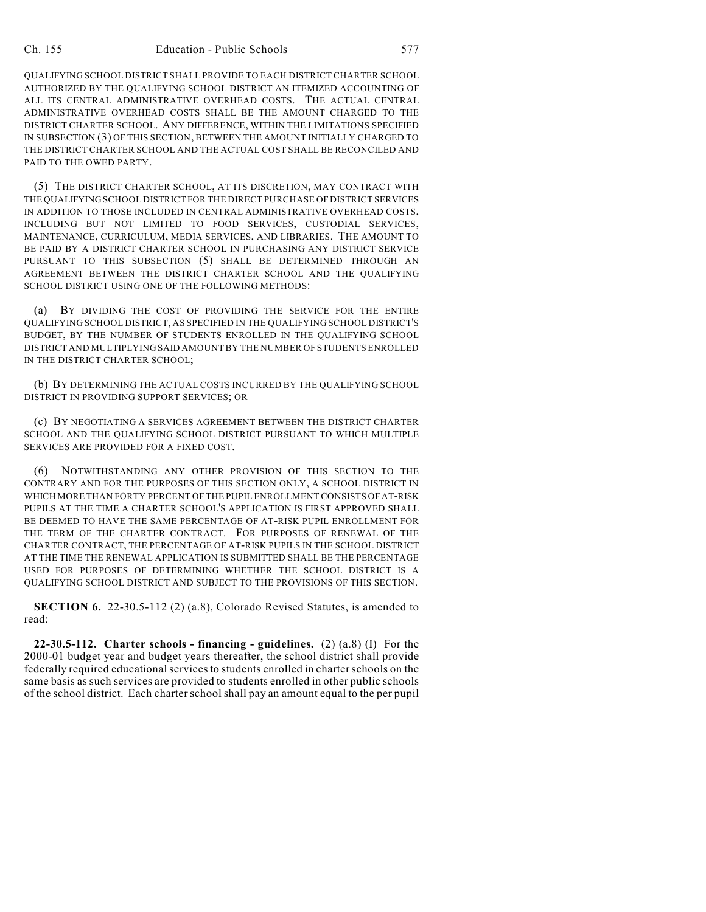QUALIFYING SCHOOL DISTRICT SHALL PROVIDE TO EACH DISTRICT CHARTER SCHOOL AUTHORIZED BY THE QUALIFYING SCHOOL DISTRICT AN ITEMIZED ACCOUNTING OF ALL ITS CENTRAL ADMINISTRATIVE OVERHEAD COSTS. THE ACTUAL CENTRAL ADMINISTRATIVE OVERHEAD COSTS SHALL BE THE AMOUNT CHARGED TO THE DISTRICT CHARTER SCHOOL. ANY DIFFERENCE, WITHIN THE LIMITATIONS SPECIFIED IN SUBSECTION (3) OF THIS SECTION, BETWEEN THE AMOUNT INITIALLY CHARGED TO THE DISTRICT CHARTER SCHOOL AND THE ACTUAL COST SHALL BE RECONCILED AND PAID TO THE OWED PARTY.

(5) THE DISTRICT CHARTER SCHOOL, AT ITS DISCRETION, MAY CONTRACT WITH THE QUALIFYING SCHOOL DISTRICT FOR THE DIRECT PURCHASE OF DISTRICT SERVICES IN ADDITION TO THOSE INCLUDED IN CENTRAL ADMINISTRATIVE OVERHEAD COSTS, INCLUDING BUT NOT LIMITED TO FOOD SERVICES, CUSTODIAL SERVICES, MAINTENANCE, CURRICULUM, MEDIA SERVICES, AND LIBRARIES. THE AMOUNT TO BE PAID BY A DISTRICT CHARTER SCHOOL IN PURCHASING ANY DISTRICT SERVICE PURSUANT TO THIS SUBSECTION (5) SHALL BE DETERMINED THROUGH AN AGREEMENT BETWEEN THE DISTRICT CHARTER SCHOOL AND THE QUALIFYING SCHOOL DISTRICT USING ONE OF THE FOLLOWING METHODS:

(a) BY DIVIDING THE COST OF PROVIDING THE SERVICE FOR THE ENTIRE QUALIFYING SCHOOL DISTRICT, AS SPECIFIED IN THE QUALIFYING SCHOOL DISTRICT'S BUDGET, BY THE NUMBER OF STUDENTS ENROLLED IN THE QUALIFYING SCHOOL DISTRICT AND MULTIPLYING SAID AMOUNT BY THE NUMBER OF STUDENTS ENROLLED IN THE DISTRICT CHARTER SCHOOL;

(b) BY DETERMINING THE ACTUAL COSTS INCURRED BY THE QUALIFYING SCHOOL DISTRICT IN PROVIDING SUPPORT SERVICES; OR

(c) BY NEGOTIATING A SERVICES AGREEMENT BETWEEN THE DISTRICT CHARTER SCHOOL AND THE QUALIFYING SCHOOL DISTRICT PURSUANT TO WHICH MULTIPLE SERVICES ARE PROVIDED FOR A FIXED COST.

(6) NOTWITHSTANDING ANY OTHER PROVISION OF THIS SECTION TO THE CONTRARY AND FOR THE PURPOSES OF THIS SECTION ONLY, A SCHOOL DISTRICT IN WHICH MORE THAN FORTY PERCENT OF THE PUPIL ENROLLMENT CONSISTS OF AT-RISK PUPILS AT THE TIME A CHARTER SCHOOL'S APPLICATION IS FIRST APPROVED SHALL BE DEEMED TO HAVE THE SAME PERCENTAGE OF AT-RISK PUPIL ENROLLMENT FOR THE TERM OF THE CHARTER CONTRACT. FOR PURPOSES OF RENEWAL OF THE CHARTER CONTRACT, THE PERCENTAGE OF AT-RISK PUPILS IN THE SCHOOL DISTRICT AT THE TIME THE RENEWAL APPLICATION IS SUBMITTED SHALL BE THE PERCENTAGE USED FOR PURPOSES OF DETERMINING WHETHER THE SCHOOL DISTRICT IS A QUALIFYING SCHOOL DISTRICT AND SUBJECT TO THE PROVISIONS OF THIS SECTION.

**SECTION 6.** 22-30.5-112 (2) (a.8), Colorado Revised Statutes, is amended to read:

**22-30.5-112. Charter schools - financing - guidelines.** (2) (a.8) (I) For the 2000-01 budget year and budget years thereafter, the school district shall provide federally required educational servicesto students enrolled in charterschools on the same basis as such services are provided to students enrolled in other public schools of the school district. Each charter school shall pay an amount equal to the per pupil